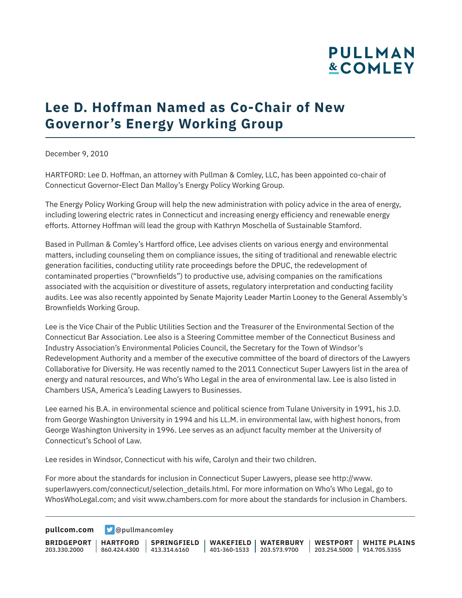# **PULLMAN &COMLEY**

## **Lee D. Hoffman Named as Co-Chair of New Governor's Energy Working Group**

December 9, 2010

HARTFORD: Lee D. Hoffman, an attorney with Pullman & Comley, LLC, has been appointed co-chair of Connecticut Governor-Elect Dan Malloy's Energy Policy Working Group.

The Energy Policy Working Group will help the new administration with policy advice in the area of energy, including lowering electric rates in Connecticut and increasing energy efficiency and renewable energy efforts. Attorney Hoffman will lead the group with Kathryn Moschella of Sustainable Stamford.

Based in Pullman & Comley's Hartford office, Lee advises clients on various energy and environmental matters, including counseling them on compliance issues, the siting of traditional and renewable electric generation facilities, conducting utility rate proceedings before the DPUC, the redevelopment of contaminated properties ("brownfields") to productive use, advising companies on the ramifications associated with the acquisition or divestiture of assets, regulatory interpretation and conducting facility audits. Lee was also recently appointed by Senate Majority Leader Martin Looney to the General Assembly's Brownfields Working Group.

Lee is the Vice Chair of the Public Utilities Section and the Treasurer of the Environmental Section of the Connecticut Bar Association. Lee also is a Steering Committee member of the Connecticut Business and Industry Association's Environmental Policies Council, the Secretary for the Town of Windsor's Redevelopment Authority and a member of the executive committee of the board of directors of the Lawyers Collaborative for Diversity. He was recently named to the 2011 Connecticut Super Lawyers list in the area of energy and natural resources, and Who's Who Legal in the area of environmental law. Lee is also listed in Chambers USA, America's Leading Lawyers to Businesses.

Lee earned his B.A. in environmental science and political science from Tulane University in 1991, his J.D. from George Washington University in 1994 and his LL.M. in environmental law, with highest honors, from George Washington University in 1996. Lee serves as an adjunct faculty member at the University of Connecticut's School of Law.

Lee resides in Windsor, Connecticut with his wife, Carolyn and their two children.

For more about the standards for inclusion in Connecticut Super Lawyers, please see http://www. superlawyers.com/connecticut/selection\_details.html. For more information on Who's Who Legal, go to WhosWhoLegal.com; and visit www.chambers.com for more about the standards for inclusion in Chambers.

**[pullcom.com](https://www.pullcom.com) g** [@pullmancomley](https://twitter.com/PullmanComley)

**BRIDGEPORT HARTFORD** 203.330.2000 860.424.4300 413.314.6160 **SPRINGFIELD WAKEFIELD WATERBURY** 401-360-1533 203.573.9700 **WESTPORT WHITE PLAINS** 203.254.5000 914.705.5355